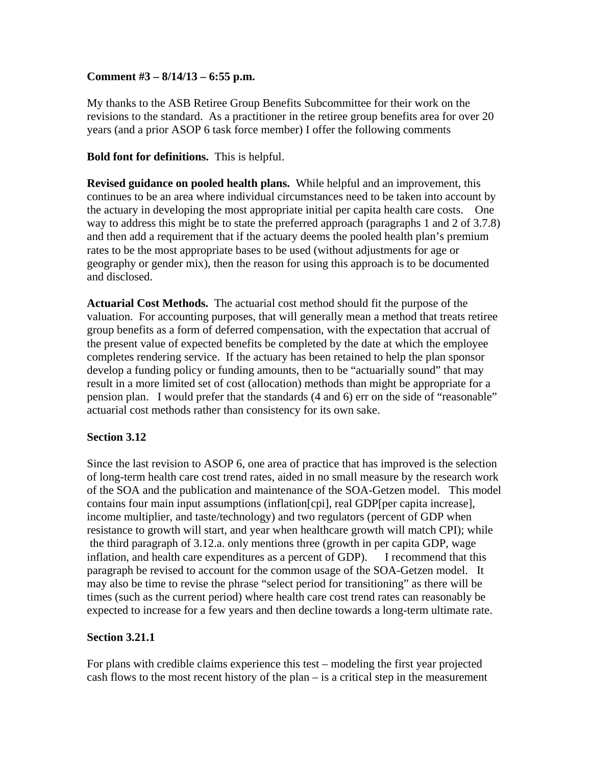## **Comment #3 – 8/14/13 – 6:55 p.m.**

My thanks to the ASB Retiree Group Benefits Subcommittee for their work on the revisions to the standard. As a practitioner in the retiree group benefits area for over 20 years (and a prior ASOP 6 task force member) I offer the following comments

## **Bold font for definitions.** This is helpful.

**Revised guidance on pooled health plans.** While helpful and an improvement, this continues to be an area where individual circumstances need to be taken into account by the actuary in developing the most appropriate initial per capita health care costs. One way to address this might be to state the preferred approach (paragraphs 1 and 2 of 3.7.8) and then add a requirement that if the actuary deems the pooled health plan's premium rates to be the most appropriate bases to be used (without adjustments for age or geography or gender mix), then the reason for using this approach is to be documented and disclosed.

**Actuarial Cost Methods.** The actuarial cost method should fit the purpose of the valuation. For accounting purposes, that will generally mean a method that treats retiree group benefits as a form of deferred compensation, with the expectation that accrual of the present value of expected benefits be completed by the date at which the employee completes rendering service. If the actuary has been retained to help the plan sponsor develop a funding policy or funding amounts, then to be "actuarially sound" that may result in a more limited set of cost (allocation) methods than might be appropriate for a pension plan. I would prefer that the standards (4 and 6) err on the side of "reasonable" actuarial cost methods rather than consistency for its own sake.

## **Section 3.12**

Since the last revision to ASOP 6, one area of practice that has improved is the selection of long-term health care cost trend rates, aided in no small measure by the research work of the SOA and the publication and maintenance of the SOA-Getzen model. This model contains four main input assumptions (inflation[cpi], real GDP[per capita increase], income multiplier, and taste/technology) and two regulators (percent of GDP when resistance to growth will start, and year when healthcare growth will match CPI); while the third paragraph of 3.12.a. only mentions three (growth in per capita GDP, wage inflation, and health care expenditures as a percent of GDP). I recommend that this paragraph be revised to account for the common usage of the SOA-Getzen model. It may also be time to revise the phrase "select period for transitioning" as there will be times (such as the current period) where health care cost trend rates can reasonably be expected to increase for a few years and then decline towards a long-term ultimate rate.

## **Section 3.21.1**

For plans with credible claims experience this test – modeling the first year projected cash flows to the most recent history of the plan – is a critical step in the measurement